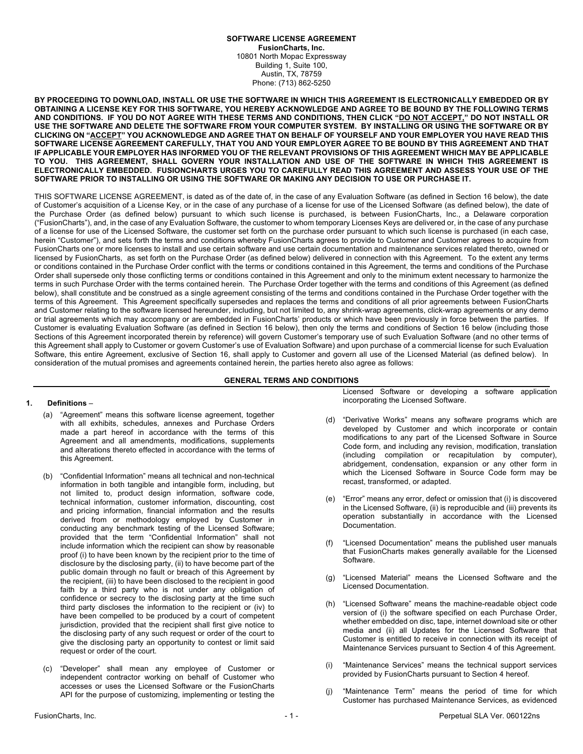#### **SOFTWARE LICENSE AGREEMENT FusionCharts, Inc.** 10801 North Mopac Expressway Building 1, Suite 100, Austin, TX, 78759 Phone: (713) 862-5250

**BY PROCEEDING TO DOWNLOAD, INSTALL OR USE THE SOFTWARE IN WHICH THIS AGREEMENT IS ELECTRONICALLY EMBEDDED OR BY OBTAINING A LICENSE KEY FOR THIS SOFTWARE, YOU HEREBY ACKNOWLEDGE AND AGREE TO BE BOUND BY THE FOLLOWING TERMS AND CONDITIONS. IF YOU DO NOT AGREE WITH THESE TERMS AND CONDITIONS, THEN CLICK "DO NOT ACCEPT," DO NOT INSTALL OR USE THE SOFTWARE AND DELETE THE SOFTWARE FROM YOUR COMPUTER SYSTEM. BY INSTALLING OR USING THE SOFTWARE OR BY CLICKING ON "ACCEPT" YOU ACKNOWLEDGE AND AGREE THAT ON BEHALF OF YOURSELF AND YOUR EMPLOYER YOU HAVE READ THIS SOFTWARE LICENSE AGREEMENT CAREFULLY, THAT YOU AND YOUR EMPLOYER AGREE TO BE BOUND BY THIS AGREEMENT AND THAT IF APPLICABLE YOUR EMPLOYER HAS INFORMED YOU OF THE RELEVANT PROVISIONS OF THIS AGREEMENT WHICH MAY BE APPLICABLE TO YOU. THIS AGREEMENT, SHALL GOVERN YOUR INSTALLATION AND USE OF THE SOFTWARE IN WHICH THIS AGREEMENT IS ELECTRONICALLY EMBEDDED. FUSIONCHARTS URGES YOU TO CAREFULLY READ THIS AGREEMENT AND ASSESS YOUR USE OF THE SOFTWARE PRIOR TO INSTALLING OR USING THE SOFTWARE OR MAKING ANY DECISION TO USE OR PURCHASE IT.**

THIS SOFTWARE LICENSE AGREEMENT, is dated as of the date of, in the case of any Evaluation Software (as defined in Section 16 below), the date of Customer's acquisition of a License Key, or in the case of any purchase of a license for use of the Licensed Software (as defined below), the date of the Purchase Order (as defined below) pursuant to which such license is purchased, is between FusionCharts, Inc., a Delaware corporation ("FusionCharts"), and, in the case of any Evaluation Software, the customer to whom temporary Licenses Keys are delivered or, in the case of any purchase of a license for use of the Licensed Software, the customer set forth on the purchase order pursuant to which such license is purchased (in each case, herein "Customer"), and sets forth the terms and conditions whereby FusionCharts agrees to provide to Customer and Customer agrees to acquire from FusionCharts one or more licenses to install and use certain software and use certain documentation and maintenance services related thereto, owned or licensed by FusionCharts, as set forth on the Purchase Order (as defined below) delivered in connection with this Agreement. To the extent any terms or conditions contained in the Purchase Order conflict with the terms or conditions contained in this Agreement, the terms and conditions of the Purchase Order shall supersede only those conflicting terms or conditions contained in this Agreement and only to the minimum extent necessary to harmonize the terms in such Purchase Order with the terms contained herein. The Purchase Order together with the terms and conditions of this Agreement (as defined below), shall constitute and be construed as a single agreement consisting of the terms and conditions contained in the Purchase Order together with the terms of this Agreement. This Agreement specifically supersedes and replaces the terms and conditions of all prior agreements between FusionCharts and Customer relating to the software licensed hereunder, including, but not limited to, any shrink-wrap agreements, click-wrap agreements or any demo or trial agreements which may accompany or are embedded in FusionCharts' products or which have been previously in force between the parties. If Customer is evaluating Evaluation Software (as defined in Section 16 below), then only the terms and conditions of Section 16 below (including those Sections of this Agreement incorporated therein by reference) will govern Customer's temporary use of such Evaluation Software (and no other terms of this Agreement shall apply to Customer or govern Customer's use of Evaluation Software) and upon purchase of a commercial license for such Evaluation Software, this entire Agreement, exclusive of Section 16, shall apply to Customer and govern all use of the Licensed Material (as defined below). In consideration of the mutual promises and agreements contained herein, the parties hereto also agree as follows:

# **GENERAL TERMS AND CONDITIONS**

### **1. Definitions** –

- (a) "Agreement" means this software license agreement, together with all exhibits, schedules, annexes and Purchase Orders made a part hereof in accordance with the terms of this Agreement and all amendments, modifications, supplements and alterations thereto effected in accordance with the terms of this Agreement.
- (b) "Confidential Information" means all technical and non-technical information in both tangible and intangible form, including, but not limited to, product design information, software code, technical information, customer information, discounting, cost and pricing information, financial information and the results derived from or methodology employed by Customer in conducting any benchmark testing of the Licensed Software; provided that the term "Confidential Information" shall not include information which the recipient can show by reasonable proof (i) to have been known by the recipient prior to the time of disclosure by the disclosing party, (ii) to have become part of the public domain through no fault or breach of this Agreement by the recipient, (iii) to have been disclosed to the recipient in good faith by a third party who is not under any obligation of confidence or secrecy to the disclosing party at the time such third party discloses the information to the recipient or (iv) to have been compelled to be produced by a court of competent jurisdiction, provided that the recipient shall first give notice to the disclosing party of any such request or order of the court to give the disclosing party an opportunity to contest or limit said request or order of the court.
- (c) "Developer" shall mean any employee of Customer or independent contractor working on behalf of Customer who accesses or uses the Licensed Software or the FusionCharts API for the purpose of customizing, implementing or testing the

Licensed Software or developing a software application incorporating the Licensed Software.

- (d) "Derivative Works" means any software programs which are developed by Customer and which incorporate or contain modifications to any part of the Licensed Software in Source Code form, and including any revision, modification, translation (including compilation or recapitulation by computer), abridgement, condensation, expansion or any other form in which the Licensed Software in Source Code form may be recast, transformed, or adapted.
- (e) "Error" means any error, defect or omission that (i) is discovered in the Licensed Software, (ii) is reproducible and (iii) prevents its operation substantially in accordance with the Licensed Documentation.
- "Licensed Documentation" means the published user manuals that FusionCharts makes generally available for the Licensed Software.
- (g) "Licensed Material" means the Licensed Software and the Licensed Documentation.
- (h) "Licensed Software" means the machine-readable object code version of (i) the software specified on each Purchase Order, whether embedded on disc, tape, internet download site or other media and (ii) all Updates for the Licensed Software that Customer is entitled to receive in connection with its receipt of Maintenance Services pursuant to Section 4 of this Agreement.
- "Maintenance Services" means the technical support services provided by FusionCharts pursuant to Section 4 hereof.
- (j) "Maintenance Term" means the period of time for which Customer has purchased Maintenance Services, as evidenced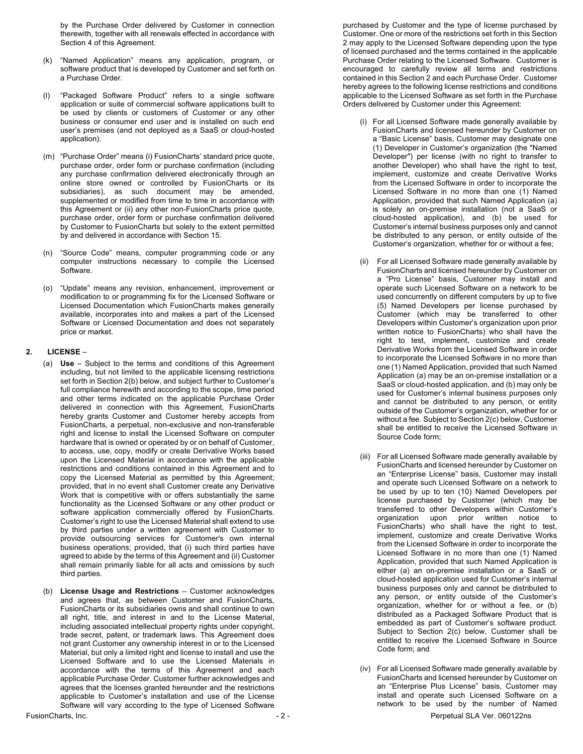by the Purchase Order delivered by Customer in connection therewith, together with all renewals effected in accordance with Section 4 of this Agreement.

- (k) "Named Application" means any application, program, or software product that is developed by Customer and set forth on a Purchase Order.
- "Packaged Software Product" refers to a single software application or suite of commercial software applications built to be used by clients or customers of Customer or any other business or consumer end user and is installed on such end user's premises (and not deployed as a SaaS or cloud-hosted application).
- (m) "Purchase Order" means (i) FusionCharts' standard price quote, purchase order, order form or purchase confirmation (including any purchase confirmation delivered electronically through an online store owned or controlled by FusionCharts or its subsidiaries), as such document may be amended, supplemented or modified from time to time in accordance with this Agreement or (ii) any other non-FusionCharts price quote, purchase order, order form or purchase confirmation delivered by Customer to FusionCharts but solely to the extent permitted by and delivered in accordance with Section 15.
- (n) "Source Code" means, computer programming code or any computer instructions necessary to compile the Licensed Software.
- (o) "Update" means any revision, enhancement, improvement or modification to or programming fix for the Licensed Software or Licensed Documentation which FusionCharts makes generally available, incorporates into and makes a part of the Licensed Software or Licensed Documentation and does not separately price or market.

### **2. LICENSE** –

- (a) **Use** Subject to the terms and conditions of this Agreement including, but not limited to the applicable licensing restrictions set forth in Section 2(b) below, and subject further to Customer's full compliance herewith and according to the scope, time period and other terms indicated on the applicable Purchase Order delivered in connection with this Agreement, FusionCharts hereby grants Customer and Customer hereby accepts from FusionCharts, a perpetual, non-exclusive and non-transferable right and license to install the Licensed Software on computer hardware that is owned or operated by or on behalf of Customer, to access, use, copy, modify or create Derivative Works based upon the Licensed Material in accordance with the applicable restrictions and conditions contained in this Agreement and to copy the Licensed Material as permitted by this Agreement; provided, that in no event shall Customer create any Derivative Work that is competitive with or offers substantially the same functionality as the Licensed Software or any other product or software application commercially offered by FusionCharts. Customer's right to use the Licensed Material shall extend to use by third parties under a written agreement with Customer to provide outsourcing services for Customer's own internal business operations; provided, that (i) such third parties have agreed to abide by the terms of this Agreement and (ii) Customer shall remain primarily liable for all acts and omissions by such third parties.
- (b) **License Usage and Restrictions**  Customer acknowledges and agrees that, as between Customer and FusionCharts, FusionCharts or its subsidiaries owns and shall continue to own all right, title, and interest in and to the License Material, including associated intellectual property rights under copyright, trade secret, patent, or trademark laws. This Agreement does not grant Customer any ownership interest in or to the Licensed Material, but only a limited right and license to install and use the Licensed Software and to use the Licensed Materials in accordance with the terms of this Agreement and each applicable Purchase Order. Customer further acknowledges and agrees that the licenses granted hereunder and the restrictions applicable to Customer's installation and use of the License Software will vary according to the type of Licensed Software

purchased by Customer and the type of license purchased by Customer. One or more of the restrictions set forth in this Section 2 may apply to the Licensed Software depending upon the type of licensed purchased and the terms contained in the applicable Purchase Order relating to the Licensed Software. Customer is encouraged to carefully review all terms and restrictions contained in this Section 2 and each Purchase Order. Customer hereby agrees to the following license restrictions and conditions applicable to the Licensed Software as set forth in the Purchase Orders delivered by Customer under this Agreement:

- (i) For all Licensed Software made generally available by FusionCharts and licensed hereunder by Customer on a "Basic License" basis, Customer may designate one (1) Developer in Customer's organization (the "Named Developer") per license (with no right to transfer to another Developer) who shall have the right to test, implement, customize and create Derivative Works from the Licensed Software in order to incorporate the Licensed Software in no more than one (1) Named Application, provided that such Named Application (a) is solely an on-premise installation (not a SaaS or cloud-hosted application), and (b) be used for Customer's internal business purposes only and cannot be distributed to any person, or entity outside of the Customer's organization, whether for or without a fee;
- (ii) For all Licensed Software made generally available by FusionCharts and licensed hereunder by Customer on a "Pro License" basis, Customer may install and operate such Licensed Software on a network to be used concurrently on different computers by up to five (5) Named Developers per license purchased by Customer (which may be transferred to other Developers within Customer's organization upon prior written notice to FusionCharts) who shall have the right to test, implement, customize and create Derivative Works from the Licensed Software in order to incorporate the Licensed Software in no more than one (1) Named Application, provided that such Named Application (a) may be an on-premise installation or a SaaS or cloud-hosted application, and (b) may only be used for Customer's internal business purposes only and cannot be distributed to any person, or entity outside of the Customer's organization, whether for or without a fee. Subject to Section 2(c) below, Customer shall be entitled to receive the Licensed Software in Source Code form;
- (iii) For all Licensed Software made generally available by FusionCharts and licensed hereunder by Customer on an "Enterprise License" basis, Customer may install and operate such Licensed Software on a network to be used by up to ten (10) Named Developers per license purchased by Customer (which may be transferred to other Developers within Customer's organization upon prior written notice to FusionCharts) who shall have the right to test, implement, customize and create Derivative Works from the Licensed Software in order to incorporate the Licensed Software in no more than one (1) Named Application, provided that such Named Application is either (a) an on-premise installation or a SaaS or cloud-hosted application used for Customer's internal business purposes only and cannot be distributed to any person, or entity outside of the Customer's organization, whether for or without a fee, or (b) distributed as a Packaged Software Product that is embedded as part of Customer's software product. Subject to Section 2(c) below, Customer shall be entitled to receive the Licensed Software in Source Code form; and
- FusionCharts, Inc. **2 2 Perpetual SLA Ver. 060122ns** (iv) For all Licensed Software made generally available by FusionCharts and licensed hereunder by Customer on an "Enterprise Plus License" basis, Customer may install and operate such Licensed Software on a network to be used by the number of Named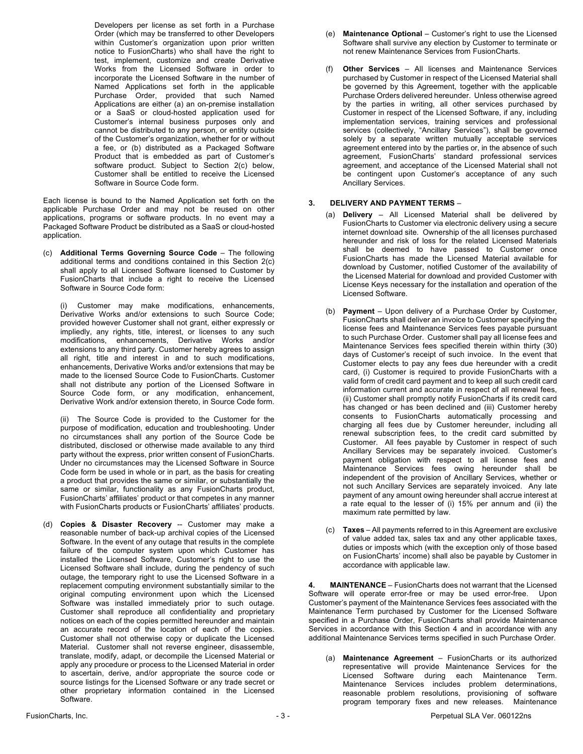Developers per license as set forth in a Purchase Order (which may be transferred to other Developers within Customer's organization upon prior written notice to FusionCharts) who shall have the right to test, implement, customize and create Derivative Works from the Licensed Software in order to incorporate the Licensed Software in the number of Named Applications set forth in the applicable Purchase Order, provided that such Named Applications are either (a) an on-premise installation or a SaaS or cloud-hosted application used for Customer's internal business purposes only and cannot be distributed to any person, or entity outside of the Customer's organization, whether for or without a fee, or (b) distributed as a Packaged Software Product that is embedded as part of Customer's software product. Subject to Section 2(c) below, Customer shall be entitled to receive the Licensed Software in Source Code form.

Each license is bound to the Named Application set forth on the applicable Purchase Order and may not be reused on other applications, programs or software products. In no event may a Packaged Software Product be distributed as a SaaS or cloud-hosted application.

(c) **Additional Terms Governing Source Code** – The following additional terms and conditions contained in this Section  $2(c)$ shall apply to all Licensed Software licensed to Customer by FusionCharts that include a right to receive the Licensed Software in Source Code form:

(i) Customer may make modifications, enhancements, Derivative Works and/or extensions to such Source Code; provided however Customer shall not grant, either expressly or impliedly, any rights, title, interest, or licenses to any such modifications, enhancements, Derivative Works and/or extensions to any third party. Customer hereby agrees to assign all right, title and interest in and to such modifications, enhancements, Derivative Works and/or extensions that may be made to the licensed Source Code to FusionCharts. Customer shall not distribute any portion of the Licensed Software in Source Code form, or any modification, enhancement, Derivative Work and/or extension thereto, in Source Code form.

(ii) The Source Code is provided to the Customer for the purpose of modification, education and troubleshooting. Under no circumstances shall any portion of the Source Code be distributed, disclosed or otherwise made available to any third party without the express, prior written consent of FusionCharts. Under no circumstances may the Licensed Software in Source Code form be used in whole or in part, as the basis for creating a product that provides the same or similar, or substantially the same or similar, functionality as any FusionCharts product, FusionCharts' affiliates' product or that competes in any manner with FusionCharts products or FusionCharts' affiliates' products.

(d) **Copies & Disaster Recovery** -- Customer may make a reasonable number of back-up archival copies of the Licensed Software. In the event of any outage that results in the complete failure of the computer system upon which Customer has installed the Licensed Software, Customer's right to use the Licensed Software shall include, during the pendency of such outage, the temporary right to use the Licensed Software in a replacement computing environment substantially similar to the original computing environment upon which the Licensed Software was installed immediately prior to such outage. Customer shall reproduce all confidentiality and proprietary notices on each of the copies permitted hereunder and maintain an accurate record of the location of each of the copies. Customer shall not otherwise copy or duplicate the Licensed Material. Customer shall not reverse engineer, disassemble, translate, modify, adapt, or decompile the Licensed Material or apply any procedure or process to the Licensed Material in order to ascertain, derive, and/or appropriate the source code or source listings for the Licensed Software or any trade secret or other proprietary information contained in the Licensed Software.

- (e) **Maintenance Optional** Customer's right to use the Licensed Software shall survive any election by Customer to terminate or not renew Maintenance Services from FusionCharts.
- (f) **Other Services**  All licenses and Maintenance Services purchased by Customer in respect of the Licensed Material shall be governed by this Agreement, together with the applicable Purchase Orders delivered hereunder. Unless otherwise agreed by the parties in writing, all other services purchased by Customer in respect of the Licensed Software, if any, including implementation services, training services and professional services (collectively, "Ancillary Services"), shall be governed solely by a separate written mutually acceptable services agreement entered into by the parties or, in the absence of such agreement, FusionCharts' standard professional services agreement, and acceptance of the Licensed Material shall not be contingent upon Customer's acceptance of any such Ancillary Services.

### **3. DELIVERY AND PAYMENT TERMS** –

- (a) **Delivery** All Licensed Material shall be delivered by FusionCharts to Customer via electronic delivery using a secure internet download site. Ownership of the all licenses purchased hereunder and risk of loss for the related Licensed Materials shall be deemed to have passed to Customer once FusionCharts has made the Licensed Material available for download by Customer, notified Customer of the availability of the Licensed Material for download and provided Customer with License Keys necessary for the installation and operation of the Licensed Software.
- (b) **Payment** Upon delivery of a Purchase Order by Customer, FusionCharts shall deliver an invoice to Customer specifying the license fees and Maintenance Services fees payable pursuant to such Purchase Order. Customer shall pay all license fees and Maintenance Services fees specified therein within thirty (30) days of Customer's receipt of such invoice. In the event that Customer elects to pay any fees due hereunder with a credit card, (i) Customer is required to provide FusionCharts with a valid form of credit card payment and to keep all such credit card information current and accurate in respect of all renewal fees, (ii) Customer shall promptly notify FusionCharts if its credit card has changed or has been declined and (iii) Customer hereby consents to FusionCharts automatically processing and charging all fees due by Customer hereunder, including all renewal subscription fees, to the credit card submitted by Customer. All fees payable by Customer in respect of such Ancillary Services may be separately invoiced. Customer's payment obligation with respect to all license fees and Maintenance Services fees owing hereunder shall be independent of the provision of Ancillary Services, whether or not such Ancillary Services are separately invoiced. Any late payment of any amount owing hereunder shall accrue interest at a rate equal to the lesser of (i) 15% per annum and (ii) the maximum rate permitted by law.
- (c) **Taxes** All payments referred to in this Agreement are exclusive of value added tax, sales tax and any other applicable taxes, duties or imposts which (with the exception only of those based on FusionCharts' income) shall also be payable by Customer in accordance with applicable law.

**4. MAINTENANCE** – FusionCharts does not warrant that the Licensed Software will operate error-free or may be used error-free. Upon Customer's payment of the Maintenance Services fees associated with the Maintenance Term purchased by Customer for the Licensed Software specified in a Purchase Order, FusionCharts shall provide Maintenance Services in accordance with this Section 4 and in accordance with any additional Maintenance Services terms specified in such Purchase Order.

(a) **Maintenance Agreement** – FusionCharts or its authorized representative will provide Maintenance Services for the Licensed Software during each Maintenance Term. Maintenance Services includes problem determinations, reasonable problem resolutions, provisioning of software program temporary fixes and new releases. Maintenance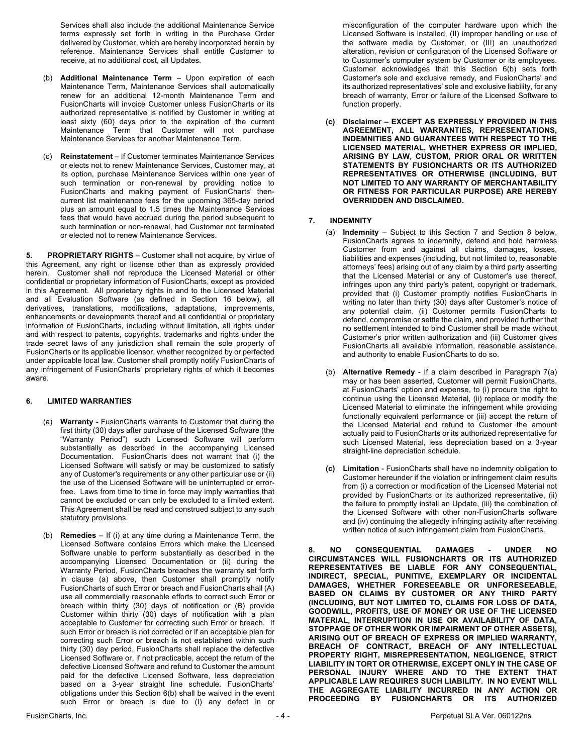Services shall also include the additional Maintenance Service terms expressly set forth in writing in the Purchase Order delivered by Customer, which are hereby incorporated herein by reference. Maintenance Services shall entitle Customer to receive, at no additional cost, all Updates.

- (b) **Additional Maintenance Term** Upon expiration of each Maintenance Term, Maintenance Services shall automatically renew for an additional 12-month Maintenance Term and FusionCharts will invoice Customer unless FusionCharts or its authorized representative is notified by Customer in writing at least sixty (60) days prior to the expiration of the current Maintenance Term that Customer will not purchase Maintenance Services for another Maintenance Term.
- (c) **Reinstatement** If Customer terminates Maintenance Services or elects not to renew Maintenance Services, Customer may, at its option, purchase Maintenance Services within one year of such termination or non-renewal by providing notice to FusionCharts and making payment of FusionCharts' thencurrent list maintenance fees for the upcoming 365-day period plus an amount equal to 1.5 times the Maintenance Services fees that would have accrued during the period subsequent to such termination or non-renewal, had Customer not terminated or elected not to renew Maintenance Services.

**5. PROPRIETARY RIGHTS** – Customer shall not acquire, by virtue of this Agreement, any right or license other than as expressly provided herein. Customer shall not reproduce the Licensed Material or other confidential or proprietary information of FusionCharts, except as provided in this Agreement. All proprietary rights in and to the Licensed Material and all Evaluation Software (as defined in Section 16 below), all derivatives, translations, modifications, adaptations, improvements, enhancements or developments thereof and all confidential or proprietary information of FusionCharts, including without limitation, all rights under and with respect to patents, copyrights, trademarks and rights under the trade secret laws of any jurisdiction shall remain the sole property of FusionCharts or its applicable licensor, whether recognized by or perfected under applicable local law. Customer shall promptly notify FusionCharts of any infringement of FusionCharts' proprietary rights of which it becomes aware.

### **6. LIMITED WARRANTIES**

- (a) **Warranty -** FusionCharts warrants to Customer that during the first thirty (30) days after purchase of the Licensed Software (the "Warranty Period") such Licensed Software will perform substantially as described in the accompanying Licensed Documentation. FusionCharts does not warrant that (i) the Licensed Software will satisfy or may be customized to satisfy any of Customer's requirements or any other particular use or (ii) the use of the Licensed Software will be uninterrupted or errorfree. Laws from time to time in force may imply warranties that cannot be excluded or can only be excluded to a limited extent. This Agreement shall be read and construed subject to any such statutory provisions.
- (b) **Remedies**  If (i) at any time during a Maintenance Term, the Licensed Software contains Errors which make the Licensed Software unable to perform substantially as described in the accompanying Licensed Documentation or (ii) during the Warranty Period, FusionCharts breaches the warranty set forth in clause (a) above, then Customer shall promptly notify FusionCharts of such Error or breach and FusionCharts shall (A) use all commercially reasonable efforts to correct such Error or breach within thirty (30) days of notification or (B) provide Customer within thirty (30) days of notification with a plan acceptable to Customer for correcting such Error or breach. If such Error or breach is not corrected or if an acceptable plan for correcting such Error or breach is not established within such thirty (30) day period, FusionCharts shall replace the defective Licensed Software or, if not practicable, accept the return of the defective Licensed Software and refund to Customer the amount paid for the defective Licensed Software, less depreciation based on a 3-year straight line schedule. FusionCharts' obligations under this Section 6(b) shall be waived in the event such Error or breach is due to (I) any defect in or

misconfiguration of the computer hardware upon which the Licensed Software is installed, (II) improper handling or use of the software media by Customer, or (III) an unauthorized alteration, revision or configuration of the Licensed Software or to Customer's computer system by Customer or its employees. Customer acknowledges that this Section 6(b) sets forth Customer's sole and exclusive remedy, and FusionCharts' and its authorized representatives' sole and exclusive liability, for any breach of warranty, Error or failure of the Licensed Software to function properly.

**(c) Disclaimer – EXCEPT AS EXPRESSLY PROVIDED IN THIS AGREEMENT, ALL WARRANTIES, REPRESENTATIONS, INDEMNITIES AND GUARANTEES WITH RESPECT TO THE LICENSED MATERIAL, WHETHER EXPRESS OR IMPLIED, ARISING BY LAW, CUSTOM, PRIOR ORAL OR WRITTEN STATEMENTS BY FUSIONCHARTS OR ITS AUTHORIZED REPRESENTATIVES OR OTHERWISE (INCLUDING, BUT NOT LIMITED TO ANY WARRANTY OF MERCHANTABILITY OR FITNESS FOR PARTICULAR PURPOSE) ARE HEREBY OVERRIDDEN AND DISCLAIMED.**

### **7. INDEMNITY**

- (a) **Indemnity** Subject to this Section 7 and Section 8 below, FusionCharts agrees to indemnify, defend and hold harmless Customer from and against all claims, damages, losses, liabilities and expenses (including, but not limited to, reasonable attorneys' fees) arising out of any claim by a third party asserting that the Licensed Material or any of Customer's use thereof, infringes upon any third party's patent, copyright or trademark, provided that (i) Customer promptly notifies FusionCharts in writing no later than thirty (30) days after Customer's notice of any potential claim, (ii) Customer permits FusionCharts to defend, compromise or settle the claim, and provided further that no settlement intended to bind Customer shall be made without Customer's prior written authorization and (iii) Customer gives FusionCharts all available information, reasonable assistance, and authority to enable FusionCharts to do so.
- (b) **Alternative Remedy** If a claim described in Paragraph 7(a) may or has been asserted, Customer will permit FusionCharts, at FusionCharts' option and expense, to (i) procure the right to continue using the Licensed Material, (ii) replace or modify the Licensed Material to eliminate the infringement while providing functionally equivalent performance or (iii) accept the return of the Licensed Material and refund to Customer the amount actually paid to FusionCharts or its authorized representative for such Licensed Material, less depreciation based on a 3-year straight-line depreciation schedule.
- **(c) Limitation** FusionCharts shall have no indemnity obligation to Customer hereunder if the violation or infringement claim results from (i) a correction or modification of the Licensed Material not provided by FusionCharts or its authorized representative, (ii) the failure to promptly install an Update, (iii) the combination of the Licensed Software with other non-FusionCharts software and (iv) continuing the allegedly infringing activity after receiving written notice of such infringement claim from FusionCharts.

**8. NO CONSEQUENTIAL DAMAGES - UNDER NO CIRCUMSTANCES WILL FUSIONCHARTS OR ITS AUTHORIZED REPRESENTATIVES BE LIABLE FOR ANY CONSEQUENTIAL, INDIRECT, SPECIAL, PUNITIVE, EXEMPLARY OR INCIDENTAL DAMAGES, WHETHER FORESEEABLE OR UNFORESEEABLE, BASED ON CLAIMS BY CUSTOMER OR ANY THIRD PARTY (INCLUDING, BUT NOT LIMITED TO, CLAIMS FOR LOSS OF DATA, GOODWILL, PROFITS, USE OF MONEY OR USE OF THE LICENSED MATERIAL, INTERRUPTION IN USE OR AVAILABILITY OF DATA, STOPPAGE OF OTHER WORK OR IMPAIRMENT OF OTHER ASSETS), ARISING OUT OF BREACH OF EXPRESS OR IMPLIED WARRANTY, BREACH OF CONTRACT, BREACH OF ANY INTELLECTUAL PROPERTY RIGHT, MISREPRESENTATION, NEGLIGENCE, STRICT LIABILITY IN TORT OR OTHERWISE, EXCEPT ONLY IN THE CASE OF PERSONAL INJURY WHERE AND TO THE EXTENT THAT APPLICABLE LAW REQUIRES SUCH LIABILITY. IN NO EVENT WILL THE AGGREGATE LIABILITY INCURRED IN ANY ACTION OR PROCEEDING BY FUSIONCHARTS OR ITS AUTHORIZED**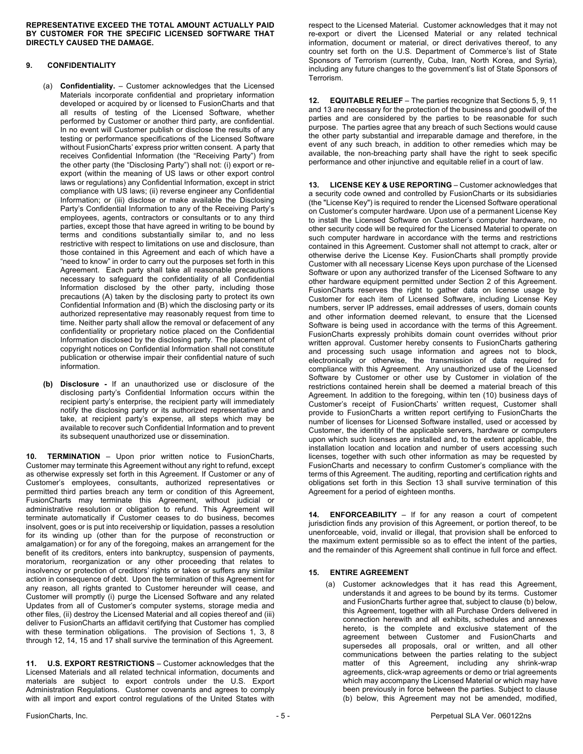**REPRESENTATIVE EXCEED THE TOTAL AMOUNT ACTUALLY PAID BY CUSTOMER FOR THE SPECIFIC LICENSED SOFTWARE THAT DIRECTLY CAUSED THE DAMAGE.**

# **9. CONFIDENTIALITY**

- (a) **Confidentiality.** Customer acknowledges that the Licensed Materials incorporate confidential and proprietary information developed or acquired by or licensed to FusionCharts and that all results of testing of the Licensed Software, whether performed by Customer or another third party, are confidential. In no event will Customer publish or disclose the results of any testing or performance specifications of the Licensed Software without FusionCharts' express prior written consent. A party that receives Confidential Information (the "Receiving Party") from the other party (the "Disclosing Party") shall not: (i) export or reexport (within the meaning of US laws or other export control laws or regulations) any Confidential Information, except in strict compliance with US laws; (ii) reverse engineer any Confidential Information; or (iii) disclose or make available the Disclosing Party's Confidential Information to any of the Receiving Party's employees, agents, contractors or consultants or to any third parties, except those that have agreed in writing to be bound by terms and conditions substantially similar to, and no less restrictive with respect to limitations on use and disclosure, than those contained in this Agreement and each of which have a "need to know" in order to carry out the purposes set forth in this Agreement. Each party shall take all reasonable precautions necessary to safeguard the confidentiality of all Confidential Information disclosed by the other party, including those precautions (A) taken by the disclosing party to protect its own Confidential Information and (B) which the disclosing party or its authorized representative may reasonably request from time to time. Neither party shall allow the removal or defacement of any confidentiality or proprietary notice placed on the Confidential Information disclosed by the disclosing party. The placement of copyright notices on Confidential Information shall not constitute publication or otherwise impair their confidential nature of such information.
- **(b) Disclosure -** If an unauthorized use or disclosure of the disclosing party's Confidential Information occurs within the recipient party's enterprise, the recipient party will immediately notify the disclosing party or its authorized representative and take, at recipient party's expense, all steps which may be available to recover such Confidential Information and to prevent its subsequent unauthorized use or dissemination.

**10. TERMINATION** – Upon prior written notice to FusionCharts, Customer may terminate this Agreement without any right to refund, except as otherwise expressly set forth in this Agreement. If Customer or any of Customer's employees, consultants, authorized representatives or permitted third parties breach any term or condition of this Agreement, FusionCharts may terminate this Agreement, without judicial or administrative resolution or obligation to refund. This Agreement will terminate automatically if Customer ceases to do business, becomes insolvent, goes or is put into receivership or liquidation, passes a resolution for its winding up (other than for the purpose of reconstruction or amalgamation) or for any of the foregoing, makes an arrangement for the benefit of its creditors, enters into bankruptcy, suspension of payments, moratorium, reorganization or any other proceeding that relates to insolvency or protection of creditors' rights or takes or suffers any similar action in consequence of debt. Upon the termination of this Agreement for any reason, all rights granted to Customer hereunder will cease, and Customer will promptly (i) purge the Licensed Software and any related Updates from all of Customer's computer systems, storage media and other files, (ii) destroy the Licensed Material and all copies thereof and (iii) deliver to FusionCharts an affidavit certifying that Customer has complied with these termination obligations. The provision of Sections 1, 3, 8 through 12, 14, 15 and 17 shall survive the termination of this Agreement.

**11. U.S. EXPORT RESTRICTIONS** – Customer acknowledges that the Licensed Materials and all related technical information, documents and materials are subject to export controls under the U.S. Export Administration Regulations. Customer covenants and agrees to comply with all import and export control regulations of the United States with

respect to the Licensed Material. Customer acknowledges that it may not re-export or divert the Licensed Material or any related technical information, document or material, or direct derivatives thereof, to any country set forth on the U.S. Department of Commerce's list of State Sponsors of Terrorism (currently, Cuba, Iran, North Korea, and Syria), including any future changes to the government's list of State Sponsors of Terrorism.

**12. EQUITABLE RELIEF** – The parties recognize that Sections 5, 9, 11 and 13 are necessary for the protection of the business and goodwill of the parties and are considered by the parties to be reasonable for such purpose. The parties agree that any breach of such Sections would cause the other party substantial and irreparable damage and therefore, in the event of any such breach, in addition to other remedies which may be available, the non-breaching party shall have the right to seek specific performance and other injunctive and equitable relief in a court of law.

**13. LICENSE KEY & USE REPORTING** – Customer acknowledges that a security code owned and controlled by FusionCharts or its subsidiaries (the "License Key") is required to render the Licensed Software operational on Customer's computer hardware. Upon use of a permanent License Key to install the Licensed Software on Customer's computer hardware, no other security code will be required for the Licensed Material to operate on such computer hardware in accordance with the terms and restrictions contained in this Agreement. Customer shall not attempt to crack, alter or otherwise derive the License Key. FusionCharts shall promptly provide Customer with all necessary License Keys upon purchase of the Licensed Software or upon any authorized transfer of the Licensed Software to any other hardware equipment permitted under Section 2 of this Agreement. FusionCharts reserves the right to gather data on license usage by Customer for each item of Licensed Software, including License Key numbers, server IP addresses, email addresses of users, domain counts and other information deemed relevant, to ensure that the Licensed Software is being used in accordance with the terms of this Agreement. FusionCharts expressly prohibits domain count overrides without prior written approval. Customer hereby consents to FusionCharts gathering and processing such usage information and agrees not to block, electronically or otherwise, the transmission of data required for compliance with this Agreement. Any unauthorized use of the Licensed Software by Customer or other use by Customer in violation of the restrictions contained herein shall be deemed a material breach of this Agreement. In addition to the foregoing, within ten (10) business days of Customer's receipt of FusionCharts' written request, Customer shall provide to FusionCharts a written report certifying to FusionCharts the number of licenses for Licensed Software installed, used or accessed by Customer, the identity of the applicable servers, hardware or computers upon which such licenses are installed and, to the extent applicable, the installation location and location and number of users accessing such licenses, together with such other information as may be requested by FusionCharts and necessary to confirm Customer's compliance with the terms of this Agreement. The auditing, reporting and certification rights and obligations set forth in this Section 13 shall survive termination of this Agreement for a period of eighteen months.

**14. ENFORCEABILITY** – If for any reason a court of competent jurisdiction finds any provision of this Agreement, or portion thereof, to be unenforceable, void, invalid or illegal, that provision shall be enforced to the maximum extent permissible so as to effect the intent of the parties, and the remainder of this Agreement shall continue in full force and effect.

### **15. ENTIRE AGREEMENT**

(a) Customer acknowledges that it has read this Agreement, understands it and agrees to be bound by its terms. Customer and FusionCharts further agree that, subject to clause (b) below, this Agreement, together with all Purchase Orders delivered in connection herewith and all exhibits, schedules and annexes hereto, is the complete and exclusive statement of the agreement between Customer and FusionCharts and supersedes all proposals, oral or written, and all other communications between the parties relating to the subject matter of this Agreement, including any shrink-wrap agreements, click-wrap agreements or demo or trial agreements which may accompany the Licensed Material or which may have been previously in force between the parties. Subject to clause (b) below, this Agreement may not be amended, modified,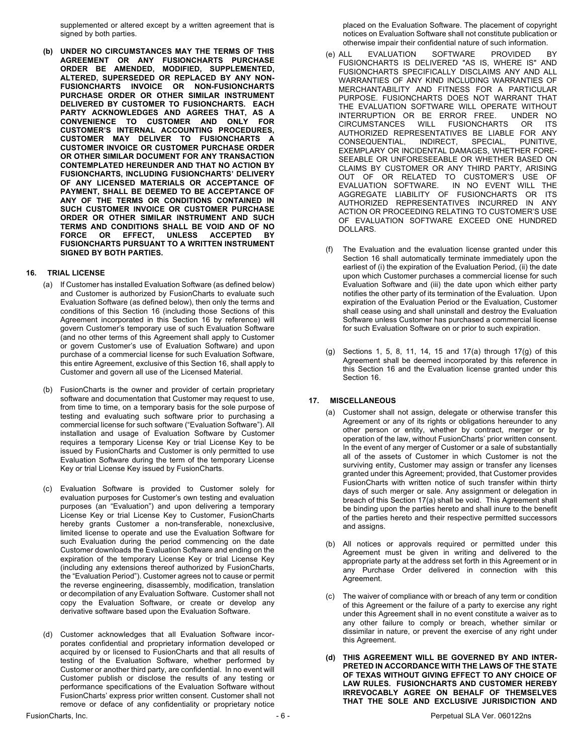supplemented or altered except by a written agreement that is signed by both parties.

**(b) UNDER NO CIRCUMSTANCES MAY THE TERMS OF THIS AGREEMENT OR ANY FUSIONCHARTS PURCHASE ORDER BE AMENDED, MODIFIED, SUPPLEMENTED, ALTERED, SUPERSEDED OR REPLACED BY ANY NON-FUSIONCHARTS INVOICE OR NON-FUSIONCHARTS PURCHASE ORDER OR OTHER SIMILAR INSTRUMENT DELIVERED BY CUSTOMER TO FUSIONCHARTS. EACH PARTY ACKNOWLEDGES AND AGREES THAT, AS A CONVENIENCE TO CUSTOMER AND ONLY FOR CUSTOMER'S INTERNAL ACCOUNTING PROCEDURES, CUSTOMER MAY DELIVER TO FUSIONCHARTS A CUSTOMER INVOICE OR CUSTOMER PURCHASE ORDER OR OTHER SIMILAR DOCUMENT FOR ANY TRANSACTION CONTEMPLATED HEREUNDER AND THAT NO ACTION BY FUSIONCHARTS, INCLUDING FUSIONCHARTS' DELIVERY OF ANY LICENSED MATERIALS OR ACCEPTANCE OF PAYMENT, SHALL BE DEEMED TO BE ACCEPTANCE OF ANY OF THE TERMS OR CONDITIONS CONTAINED IN SUCH CUSTOMER INVOICE OR CUSTOMER PURCHASE ORDER OR OTHER SIMILAR INSTRUMENT AND SUCH TERMS AND CONDITIONS SHALL BE VOID AND OF NO FORCE OR EFFECT, UNLESS ACCEPTED BY FUSIONCHARTS PURSUANT TO A WRITTEN INSTRUMENT SIGNED BY BOTH PARTIES.**

### **16. TRIAL LICENSE**

- (a) If Customer has installed Evaluation Software (as defined below) and Customer is authorized by FusionCharts to evaluate such Evaluation Software (as defined below), then only the terms and conditions of this Section 16 (including those Sections of this Agreement incorporated in this Section 16 by reference) will govern Customer's temporary use of such Evaluation Software (and no other terms of this Agreement shall apply to Customer or govern Customer's use of Evaluation Software) and upon purchase of a commercial license for such Evaluation Software, this entire Agreement, exclusive of this Section 16, shall apply to Customer and govern all use of the Licensed Material.
- (b) FusionCharts is the owner and provider of certain proprietary software and documentation that Customer may request to use, from time to time, on a temporary basis for the sole purpose of testing and evaluating such software prior to purchasing a commercial license for such software ("Evaluation Software"). All installation and usage of Evaluation Software by Customer requires a temporary License Key or trial License Key to be issued by FusionCharts and Customer is only permitted to use Evaluation Software during the term of the temporary License Key or trial License Key issued by FusionCharts.
- (c) Evaluation Software is provided to Customer solely for evaluation purposes for Customer's own testing and evaluation purposes (an "Evaluation") and upon delivering a temporary License Key or trial License Key to Customer, FusionCharts hereby grants Customer a non-transferable, nonexclusive, limited license to operate and use the Evaluation Software for such Evaluation during the period commencing on the date Customer downloads the Evaluation Software and ending on the expiration of the temporary License Key or trial License Key (including any extensions thereof authorized by FusionCharts, the "Evaluation Period"). Customer agrees not to cause or permit the reverse engineering, disassembly, modification, translation or decompilation of any Evaluation Software. Customer shall not copy the Evaluation Software, or create or develop any derivative software based upon the Evaluation Software.
- (d) Customer acknowledges that all Evaluation Software incorporates confidential and proprietary information developed or acquired by or licensed to FusionCharts and that all results of testing of the Evaluation Software, whether performed by Customer or another third party, are confidential. In no event will Customer publish or disclose the results of any testing or performance specifications of the Evaluation Software without FusionCharts' express prior written consent. Customer shall not remove or deface of any confidentiality or proprietary notice

placed on the Evaluation Software. The placement of copyright notices on Evaluation Software shall not constitute publication or otherwise impair their confidential nature of such information.

- (e) ALL EVALUATION SOFTWARE PROVIDED BY FUSIONCHARTS IS DELIVERED "AS IS, WHERE IS" AND FUSIONCHARTS SPECIFICALLY DISCLAIMS ANY AND ALL WARRANTIES OF ANY KIND INCLUDING WARRANTIES OF MERCHANTABILITY AND FITNESS FOR A PARTICULAR PURPOSE. FUSIONCHARTS DOES NOT WARRANT THAT THE EVALUATION SOFTWARE WILL OPERATE WITHOUT INTERRUPTION OR BE ERROR FREE. UNDER NO<br>CIRCUMSTANCES WILL FUSIONCHARTS OR ITS CIRCUMSTANCES WILL FUSIONCHARTS OR ITS AUTHORIZED REPRESENTATIVES BE LIABLE FOR ANY CONSEQUENTIAL, INDIRECT, SPECIAL, PUNITIVE, EXEMPLARY OR INCIDENTAL DAMAGES, WHETHER FORE-SEEABLE OR UNFORESEEABLE OR WHETHER BASED ON CLAIMS BY CUSTOMER OR ANY THIRD PARTY, ARISING OUT OF OR RELATED TO CUSTOMER'S USE OF EVALUATION SOFTWARE. IN NO EVENT WILL THE AGGREGATE LIABILITY OF FUSIONCHARTS OR ITS AUTHORIZED REPRESENTATIVES INCURRED IN ANY ACTION OR PROCEEDING RELATING TO CUSTOMER'S USE OF EVALUATION SOFTWARE EXCEED ONE HUNDRED DOLLARS.
- (f) The Evaluation and the evaluation license granted under this Section 16 shall automatically terminate immediately upon the earliest of (i) the expiration of the Evaluation Period, (ii) the date upon which Customer purchases a commercial license for such Evaluation Software and (iii) the date upon which either party notifies the other party of its termination of the Evaluation. Upon expiration of the Evaluation Period or the Evaluation, Customer shall cease using and shall uninstall and destroy the Evaluation Software unless Customer has purchased a commercial license for such Evaluation Software on or prior to such expiration.
- (g) Sections 1, 5, 8, 11, 14, 15 and 17(a) through 17(g) of this Agreement shall be deemed incorporated by this reference in this Section 16 and the Evaluation license granted under this Section 16.

### **17. MISCELLANEOUS**

- (a) Customer shall not assign, delegate or otherwise transfer this Agreement or any of its rights or obligations hereunder to any other person or entity, whether by contract, merger or by operation of the law, without FusionCharts' prior written consent. In the event of any merger of Customer or a sale of substantially all of the assets of Customer in which Customer is not the surviving entity, Customer may assign or transfer any licenses granted under this Agreement; provided, that Customer provides FusionCharts with written notice of such transfer within thirty days of such merger or sale. Any assignment or delegation in breach of this Section 17(a) shall be void. This Agreement shall be binding upon the parties hereto and shall inure to the benefit of the parties hereto and their respective permitted successors and assigns.
- (b) All notices or approvals required or permitted under this Agreement must be given in writing and delivered to the appropriate party at the address set forth in this Agreement or in any Purchase Order delivered in connection with this Agreement.
- (c) The waiver of compliance with or breach of any term or condition of this Agreement or the failure of a party to exercise any right under this Agreement shall in no event constitute a waiver as to any other failure to comply or breach, whether similar or dissimilar in nature, or prevent the exercise of any right under this Agreement.
- **(d) THIS AGREEMENT WILL BE GOVERNED BY AND INTER-PRETED IN ACCORDANCE WITH THE LAWS OF THE STATE OF TEXAS WITHOUT GIVING EFFECT TO ANY CHOICE OF LAW RULES. FUSIONCHARTS AND CUSTOMER HEREBY IRREVOCABLY AGREE ON BEHALF OF THEMSELVES THAT THE SOLE AND EXCLUSIVE JURISDICTION AND**